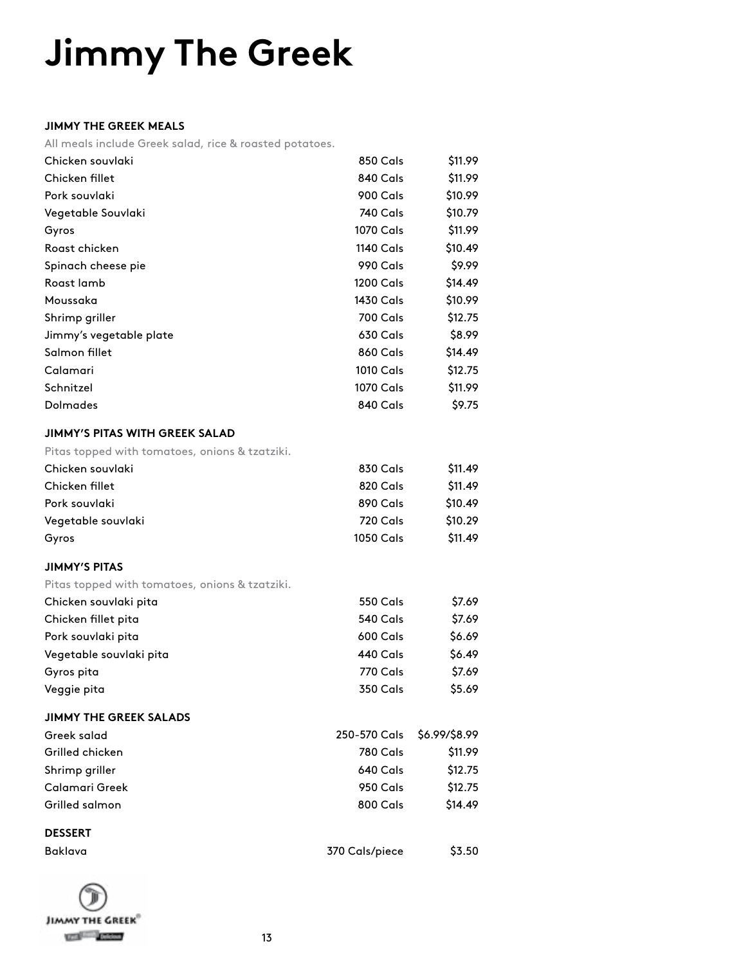# **Jimmy The Greek**

#### **JIMMY THE GREEK MEALS**

All meals include Greek salad, rice & roasted potatoes.

| Chicken souvlaki                               | 850 Cals         | \$11.99       |
|------------------------------------------------|------------------|---------------|
| Chicken fillet                                 | 840 Cals         | \$11.99       |
| Pork souvlaki                                  | 900 Cals         | \$10.99       |
| Vegetable Souvlaki                             | 740 Cals         | \$10.79       |
| Gyros                                          | 1070 Cals        | \$11.99       |
| Roast chicken                                  | 1140 Cals        | \$10.49       |
| Spinach cheese pie                             | 990 Cals         | \$9.99        |
| Roast lamb                                     | 1200 Cals        | \$14.49       |
| Moussaka                                       | 1430 Cals        | \$10.99       |
| Shrimp griller                                 | <b>700 Cals</b>  | \$12.75       |
| Jimmy's vegetable plate                        | 630 Cals         | \$8.99        |
| Salmon fillet                                  | <b>860 Cals</b>  | \$14.49       |
| Calamari                                       | 1010 Cals        | \$12.75       |
| Schnitzel                                      | 1070 Cals        | \$11.99       |
| <b>Dolmades</b>                                | 840 Cals         | \$9.75        |
| JIMMY'S PITAS WITH GREEK SALAD                 |                  |               |
| Pitas topped with tomatoes, onions & tzatziki. |                  |               |
| Chicken souvlaki                               | 830 Cals         | \$11.49       |
| Chicken fillet                                 | 820 Cals         | \$11.49       |
| Pork souvlaki                                  | 890 Cals         | \$10.49       |
| Vegetable souvlaki                             | 720 Cals         | \$10.29       |
| Gyros                                          | <b>1050 Cals</b> | \$11.49       |
| <b>JIMMY'S PITAS</b>                           |                  |               |
| Pitas topped with tomatoes, onions & tzatziki. |                  |               |
| Chicken souvlaki pita                          | <b>550 Cals</b>  | \$7.69        |
| Chicken fillet pita                            | 540 Cals         | \$7.69        |
| Pork souvlaki pita                             | 600 Cals         | \$6.69        |
| Vegetable souvlaki pita                        | 440 Cals         | \$6.49        |
| Gyros pita                                     | 770 Cals         | \$7.69        |
| Veggie pita                                    | <b>350 Cals</b>  | \$5.69        |
| <b>JIMMY THE GREEK SALADS</b>                  |                  |               |
| Greek salad                                    | 250-570 Cals     | \$6.99/\$8.99 |
| Grilled chicken                                | <b>780 Cals</b>  | \$11.99       |
| Shrimp griller                                 | 640 Cals         | \$12.75       |
| Calamari Greek                                 | 950 Cals         | \$12.75       |
| Grilled salmon                                 | 800 Cals         | \$14.49       |
| <b>DESSERT</b>                                 |                  |               |
| Baklava                                        | 370 Cals/piece   | \$3.50        |